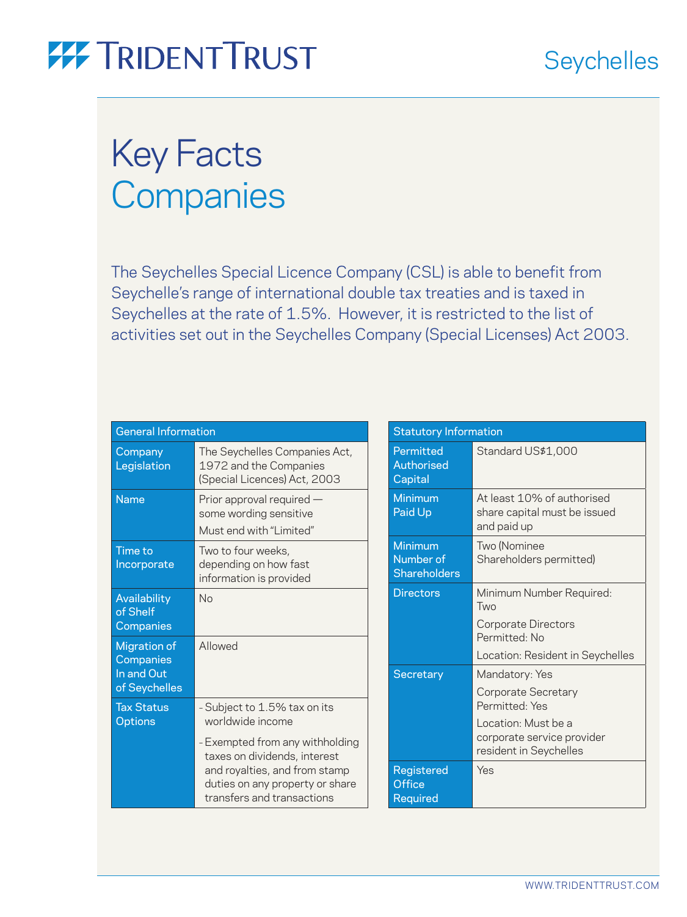## Key Facts **Companies**

The Seychelles Special Licence Company (CSL) is able to benefit from Seychelle's range of international double tax treaties and is taxed in Seychelles at the rate of 1.5%. However, it is restricted to the list of activities set out in the Seychelles Company (Special Licenses) Act 2003.

| <b>General Information</b>                                      |                                                                                                                                                                   |
|-----------------------------------------------------------------|-------------------------------------------------------------------------------------------------------------------------------------------------------------------|
| Company<br>Legislation                                          | The Seychelles Companies Act,<br>1972 and the Companies<br>(Special Licences) Act, 2003                                                                           |
| <b>Name</b>                                                     | Prior approval required -<br>some wording sensitive<br>Must end with "Limited"                                                                                    |
| <b>Time to</b><br>Incorporate                                   | Two to four weeks,<br>depending on how fast<br>information is provided                                                                                            |
| Availability<br>of Shelf<br>Companies                           | No                                                                                                                                                                |
| <b>Migration of</b><br>Companies<br>In and Out<br>of Seychelles | Allowed                                                                                                                                                           |
| <b>Tax Status</b><br><b>Options</b>                             | - Subject to 1.5% tax on its<br>worldwide income                                                                                                                  |
|                                                                 | - Exempted from any withholding<br>taxes on dividends, interest<br>and royalties, and from stamp<br>duties on any property or share<br>transfers and transactions |

| <b>Statutory Information</b>                |                                                                                                                                        |
|---------------------------------------------|----------------------------------------------------------------------------------------------------------------------------------------|
| Permitted<br>Authorised<br>Capital          | Standard US\$1,000                                                                                                                     |
| Minimum<br>Paid Up                          | At least 10% of authorised<br>share capital must be issued<br>and paid up                                                              |
| Minimum<br>Number of<br><b>Shareholders</b> | Two (Nominee<br>Shareholders permitted)                                                                                                |
| <b>Directors</b>                            | Minimum Number Required:<br>Two<br>Corporate Directors<br>Permitted No<br>Location: Resident in Seychelles                             |
| Secretary                                   | Mandatory: Yes<br>Corporate Secretary<br>Permitted: Yes<br>Location: Must be a<br>corporate service provider<br>resident in Seychelles |
| <b>Registered</b><br>Office<br>Required     | Yes                                                                                                                                    |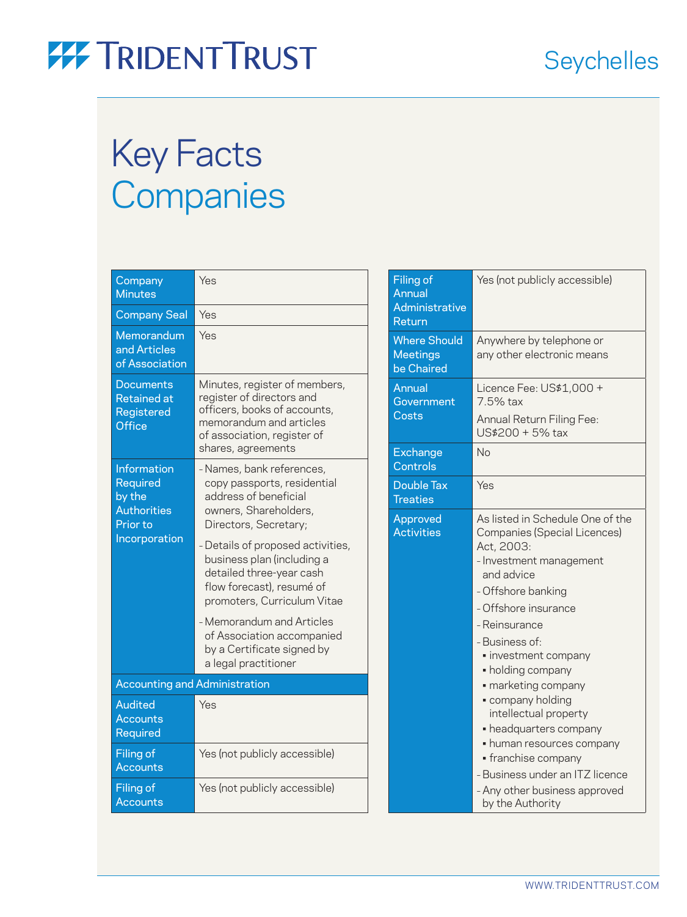# Key Facts **Companies**

| Company<br><b>Minutes</b>                                                  | Yes                                                                                                                                                                        |
|----------------------------------------------------------------------------|----------------------------------------------------------------------------------------------------------------------------------------------------------------------------|
| <b>Company Seal</b>                                                        | Yes                                                                                                                                                                        |
| Memorandum<br>and Articles<br>of Association                               | Yes                                                                                                                                                                        |
| <b>Documents</b><br><b>Retained</b> at<br>Registered<br><b>Office</b>      | Minutes, register of members,<br>register of directors and<br>officers, books of accounts,<br>memorandum and articles<br>of association, register of<br>shares, agreements |
| Information<br><b>Required</b><br>by the<br><b>Authorities</b><br>Prior to | - Names, bank references,<br>copy passports, residential<br>address of beneficial<br>owners, Shareholders,<br>Directors, Secretary;                                        |
| Incorporation                                                              | - Details of proposed activities,<br>business plan (including a<br>detailed three-year cash<br>flow forecast), resumé of<br>promoters, Curriculum Vitae                    |
|                                                                            | - Memorandum and Articles<br>of Association accompanied<br>by a Certificate signed by<br>a legal practitioner                                                              |
| <b>Accounting and Administration</b>                                       |                                                                                                                                                                            |
| <b>Audited</b><br><b>Accounts</b><br>Required                              | Yes                                                                                                                                                                        |
| Filing of<br><b>Accounts</b>                                               | Yes (not publicly accessible)                                                                                                                                              |
| Filing of<br>Accounts                                                      | Yes (not publicly accessible)                                                                                                                                              |

| <b>Filing of</b><br>Annual<br>Administrative<br>Return | Yes (not publicly accessible)                                                                                                                                                                                                                                                                                                                                                                                                                                                                    |
|--------------------------------------------------------|--------------------------------------------------------------------------------------------------------------------------------------------------------------------------------------------------------------------------------------------------------------------------------------------------------------------------------------------------------------------------------------------------------------------------------------------------------------------------------------------------|
| <b>Where Should</b><br><b>Meetings</b><br>be Chaired   | Anywhere by telephone or<br>any other electronic means                                                                                                                                                                                                                                                                                                                                                                                                                                           |
| Annual<br>Government<br>Costs                          | Licence Fee: US\$1,000 +<br>7.5% tax<br>Annual Return Filing Fee:<br>US\$200 + 5% tax                                                                                                                                                                                                                                                                                                                                                                                                            |
| <b>Exchange</b><br>Controls                            | <b>No</b>                                                                                                                                                                                                                                                                                                                                                                                                                                                                                        |
| <b>Double Tax</b><br><b>Treaties</b>                   | Yes                                                                                                                                                                                                                                                                                                                                                                                                                                                                                              |
| Approved<br><b>Activities</b>                          | As listed in Schedule One of the<br>Companies (Special Licences)<br>Act, 2003:<br>- Investment management<br>and advice<br>- Offshore banking<br>- Offshore insurance<br>- Reinsurance<br>- Business of:<br>· investment company<br>• holding company<br>· marketing company<br>· company holding<br>intellectual property<br>• headquarters company<br>• human resources company<br>• franchise company<br>- Business under an ITZ licence<br>- Any other business approved<br>by the Authority |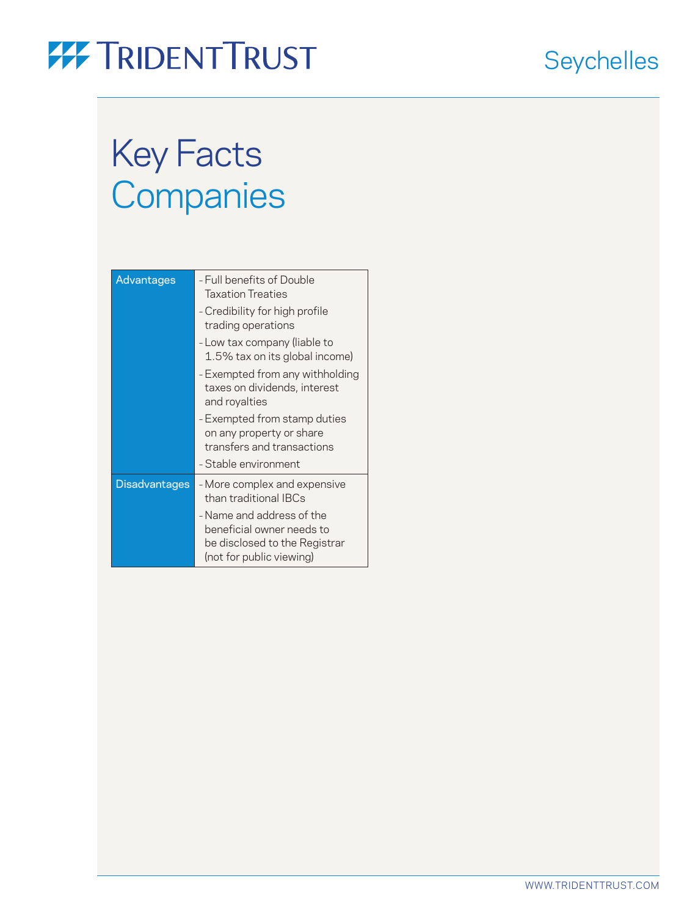### **Seychelles**

## Key Facts **Companies**

| Advantages           | - Full benefits of Double<br><b>Taxation Treaties</b>                                                               |
|----------------------|---------------------------------------------------------------------------------------------------------------------|
|                      | - Credibility for high profile<br>trading operations                                                                |
|                      | - Low tax company (liable to<br>1.5% tax on its global income)                                                      |
|                      | - Exempted from any withholding<br>taxes on dividends, interest<br>and royalties                                    |
|                      | - Exempted from stamp duties<br>on any property or share<br>transfers and transactions<br>- Stable environment      |
| <b>Disadvantages</b> | - More complex and expensive<br>than traditional IBCs                                                               |
|                      | - Name and address of the<br>beneficial owner needs to<br>be disclosed to the Registrar<br>(not for public viewing) |